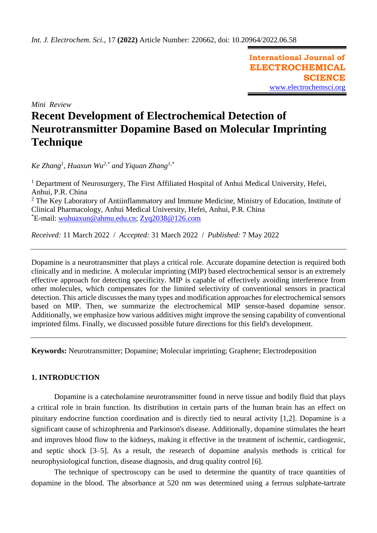**International Journal of ELECTROCHEMICAL SCIENCE** [www.electrochemsci.org](http://www.electrochemsci.org/)

*Mini Review*

# **Recent Development of Electrochemical Detection of Neurotransmitter Dopamine Based on Molecular Imprinting Technique**

*Ke Zhang<sup>1</sup> , Huaxun Wu2,\* and Yiquan Zhang1,\**

<sup>1</sup> Department of Neurosurgery, The First Affiliated Hospital of Anhui Medical University, Hefei, Anhui, P.R. China  $2$  The Key Laboratory of Antiinflammatory and Immune Medicine, Ministry of Education, Institute of Clinical Pharmacology, Anhui Medical University, Hefei, Anhui, P.R. China \*E-mail: [wuhuaxun@ahmu.edu.cn;](mailto:wuhuaxun@ahmu.edu.cn) [Zyq2038@126.com](mailto:Zyq2038@126.com)

*Received:* 11 March 2022/ *Accepted:* 31 March 2022 / *Published:* 7 May 2022

Dopamine is a neurotransmitter that plays a critical role. Accurate dopamine detection is required both clinically and in medicine. A molecular imprinting (MIP) based electrochemical sensor is an extremely effective approach for detecting specificity. MIP is capable of effectively avoiding interference from other molecules, which compensates for the limited selectivity of conventional sensors in practical detection. This article discusses the many types and modification approaches for electrochemical sensors based on MIP. Then, we summarize the electrochemical MIP sensor-based dopamine sensor. Additionally, we emphasize how various additives might improve the sensing capability of conventional imprinted films. Finally, we discussed possible future directions for this field's development.

**Keywords:** Neurotransmitter; Dopamine; Molecular imprinting; Graphene; Electrodeposition

# **1. INTRODUCTION**

Dopamine is a catecholamine neurotransmitter found in nerve tissue and bodily fluid that plays a critical role in brain function. Its distribution in certain parts of the human brain has an effect on pituitary endocrine function coordination and is directly tied to neural activity [1,2]. Dopamine is a significant cause of schizophrenia and Parkinson's disease. Additionally, dopamine stimulates the heart and improves blood flow to the kidneys, making it effective in the treatment of ischemic, cardiogenic, and septic shock [3–5]. As a result, the research of dopamine analysis methods is critical for neurophysiological function, disease diagnosis, and drug quality control [6].

The technique of spectroscopy can be used to determine the quantity of trace quantities of dopamine in the blood. The absorbance at 520 nm was determined using a ferrous sulphate-tartrate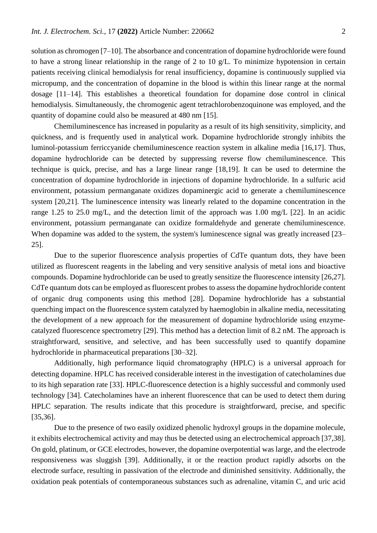solution as chromogen [7–10]. The absorbance and concentration of dopamine hydrochloride were found to have a strong linear relationship in the range of 2 to 10 g/L. To minimize hypotension in certain patients receiving clinical hemodialysis for renal insufficiency, dopamine is continuously supplied via micropump, and the concentration of dopamine in the blood is within this linear range at the normal dosage [11–14]. This establishes a theoretical foundation for dopamine dose control in clinical hemodialysis. Simultaneously, the chromogenic agent tetrachlorobenzoquinone was employed, and the quantity of dopamine could also be measured at 480 nm [15].

Chemiluminescence has increased in popularity as a result of its high sensitivity, simplicity, and quickness, and is frequently used in analytical work. Dopamine hydrochloride strongly inhibits the luminol-potassium ferriccyanide chemiluminescence reaction system in alkaline media [16,17]. Thus, dopamine hydrochloride can be detected by suppressing reverse flow chemiluminescence. This technique is quick, precise, and has a large linear range [18,19]. It can be used to determine the concentration of dopamine hydrochloride in injections of dopamine hydrochloride. In a sulfuric acid environment, potassium permanganate oxidizes dopaminergic acid to generate a chemiluminescence system [20,21]. The luminescence intensity was linearly related to the dopamine concentration in the range 1.25 to 25.0 mg/L, and the detection limit of the approach was 1.00 mg/L [22]. In an acidic environment, potassium permanganate can oxidize formaldehyde and generate chemiluminescence. When dopamine was added to the system, the system's luminescence signal was greatly increased [23– 25].

Due to the superior fluorescence analysis properties of CdTe quantum dots, they have been utilized as fluorescent reagents in the labeling and very sensitive analysis of metal ions and bioactive compounds. Dopamine hydrochloride can be used to greatly sensitize the fluorescence intensity [26,27]. CdTe quantum dots can be employed as fluorescent probes to assess the dopamine hydrochloride content of organic drug components using this method [28]. Dopamine hydrochloride has a substantial quenching impact on the fluorescence system catalyzed by haemoglobin in alkaline media, necessitating the development of a new approach for the measurement of dopamine hydrochloride using enzymecatalyzed fluorescence spectrometry [29]. This method has a detection limit of 8.2 nM. The approach is straightforward, sensitive, and selective, and has been successfully used to quantify dopamine hydrochloride in pharmaceutical preparations [30–32].

Additionally, high performance liquid chromatography (HPLC) is a universal approach for detecting dopamine. HPLC has received considerable interest in the investigation of catecholamines due to its high separation rate [33]. HPLC-fluorescence detection is a highly successful and commonly used technology [34]. Catecholamines have an inherent fluorescence that can be used to detect them during HPLC separation. The results indicate that this procedure is straightforward, precise, and specific [35,36].

Due to the presence of two easily oxidized phenolic hydroxyl groups in the dopamine molecule, it exhibits electrochemical activity and may thus be detected using an electrochemical approach [37,38]. On gold, platinum, or GCE electrodes, however, the dopamine overpotential was large, and the electrode responsiveness was sluggish [39]. Additionally, it or the reaction product rapidly adsorbs on the electrode surface, resulting in passivation of the electrode and diminished sensitivity. Additionally, the oxidation peak potentials of contemporaneous substances such as adrenaline, vitamin C, and uric acid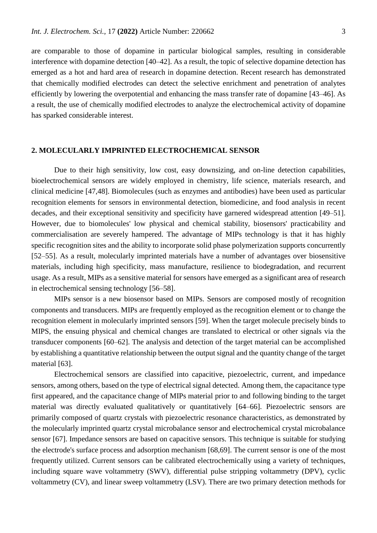are comparable to those of dopamine in particular biological samples, resulting in considerable interference with dopamine detection [40–42]. As a result, the topic of selective dopamine detection has emerged as a hot and hard area of research in dopamine detection. Recent research has demonstrated that chemically modified electrodes can detect the selective enrichment and penetration of analytes efficiently by lowering the overpotential and enhancing the mass transfer rate of dopamine [43–46]. As a result, the use of chemically modified electrodes to analyze the electrochemical activity of dopamine has sparked considerable interest.

### **2. MOLECULARLY IMPRINTED ELECTROCHEMICAL SENSOR**

Due to their high sensitivity, low cost, easy downsizing, and on-line detection capabilities, bioelectrochemical sensors are widely employed in chemistry, life science, materials research, and clinical medicine [47,48]. Biomolecules (such as enzymes and antibodies) have been used as particular recognition elements for sensors in environmental detection, biomedicine, and food analysis in recent decades, and their exceptional sensitivity and specificity have garnered widespread attention [49–51]. However, due to biomolecules' low physical and chemical stability, biosensors' practicability and commercialisation are severely hampered. The advantage of MIPs technology is that it has highly specific recognition sites and the ability to incorporate solid phase polymerization supports concurrently [52–55]. As a result, molecularly imprinted materials have a number of advantages over biosensitive materials, including high specificity, mass manufacture, resilience to biodegradation, and recurrent usage. As a result, MIPs as a sensitive material for sensors have emerged as a significant area of research in electrochemical sensing technology [56–58].

MIPs sensor is a new biosensor based on MIPs. Sensors are composed mostly of recognition components and transducers. MIPs are frequently employed as the recognition element or to change the recognition element in molecularly imprinted sensors [59]. When the target molecule precisely binds to MIPS, the ensuing physical and chemical changes are translated to electrical or other signals via the transducer components [60–62]. The analysis and detection of the target material can be accomplished by establishing a quantitative relationship between the output signal and the quantity change of the target material [63].

Electrochemical sensors are classified into capacitive, piezoelectric, current, and impedance sensors, among others, based on the type of electrical signal detected. Among them, the capacitance type first appeared, and the capacitance change of MIPs material prior to and following binding to the target material was directly evaluated qualitatively or quantitatively [64–66]. Piezoelectric sensors are primarily composed of quartz crystals with piezoelectric resonance characteristics, as demonstrated by the molecularly imprinted quartz crystal microbalance sensor and electrochemical crystal microbalance sensor [67]. Impedance sensors are based on capacitive sensors. This technique is suitable for studying the electrode's surface process and adsorption mechanism [68,69]. The current sensor is one of the most frequently utilized. Current sensors can be calibrated electrochemically using a variety of techniques, including square wave voltammetry (SWV), differential pulse stripping voltammetry (DPV), cyclic voltammetry (CV), and linear sweep voltammetry (LSV). There are two primary detection methods for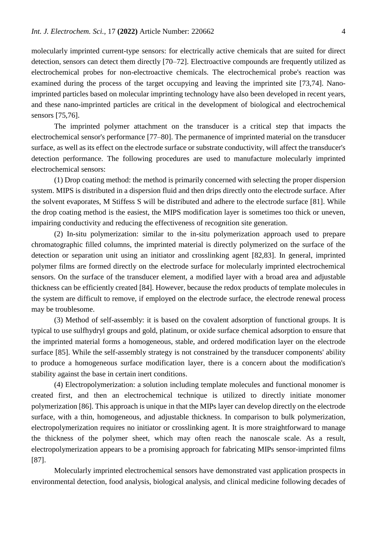molecularly imprinted current-type sensors: for electrically active chemicals that are suited for direct detection, sensors can detect them directly [70–72]. Electroactive compounds are frequently utilized as electrochemical probes for non-electroactive chemicals. The electrochemical probe's reaction was examined during the process of the target occupying and leaving the imprinted site [73,74]. Nanoimprinted particles based on molecular imprinting technology have also been developed in recent years, and these nano-imprinted particles are critical in the development of biological and electrochemical sensors [75,76].

The imprinted polymer attachment on the transducer is a critical step that impacts the electrochemical sensor's performance [77–80]. The permanence of imprinted material on the transducer surface, as well as its effect on the electrode surface or substrate conductivity, will affect the transducer's detection performance. The following procedures are used to manufacture molecularly imprinted electrochemical sensors:

(1) Drop coating method: the method is primarily concerned with selecting the proper dispersion system. MIPS is distributed in a dispersion fluid and then drips directly onto the electrode surface. After the solvent evaporates, M Stiffess S will be distributed and adhere to the electrode surface [81]. While the drop coating method is the easiest, the MIPS modification layer is sometimes too thick or uneven, impairing conductivity and reducing the effectiveness of recognition site generation.

(2) In-situ polymerization: similar to the in-situ polymerization approach used to prepare chromatographic filled columns, the imprinted material is directly polymerized on the surface of the detection or separation unit using an initiator and crosslinking agent [82,83]. In general, imprinted polymer films are formed directly on the electrode surface for molecularly imprinted electrochemical sensors. On the surface of the transducer element, a modified layer with a broad area and adjustable thickness can be efficiently created [84]. However, because the redox products of template molecules in the system are difficult to remove, if employed on the electrode surface, the electrode renewal process may be troublesome.

(3) Method of self-assembly: it is based on the covalent adsorption of functional groups. It is typical to use sulfhydryl groups and gold, platinum, or oxide surface chemical adsorption to ensure that the imprinted material forms a homogeneous, stable, and ordered modification layer on the electrode surface [85]. While the self-assembly strategy is not constrained by the transducer components' ability to produce a homogeneous surface modification layer, there is a concern about the modification's stability against the base in certain inert conditions.

(4) Electropolymerization: a solution including template molecules and functional monomer is created first, and then an electrochemical technique is utilized to directly initiate monomer polymerization [86]. This approach is unique in that the MIPs layer can develop directly on the electrode surface, with a thin, homogeneous, and adjustable thickness. In comparison to bulk polymerization, electropolymerization requires no initiator or crosslinking agent. It is more straightforward to manage the thickness of the polymer sheet, which may often reach the nanoscale scale. As a result, electropolymerization appears to be a promising approach for fabricating MIPs sensor-imprinted films [87].

Molecularly imprinted electrochemical sensors have demonstrated vast application prospects in environmental detection, food analysis, biological analysis, and clinical medicine following decades of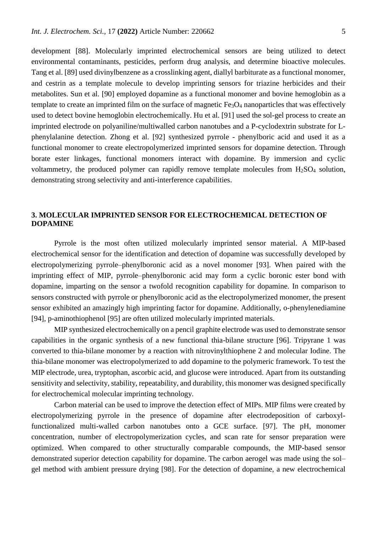development [88]. Molecularly imprinted electrochemical sensors are being utilized to detect environmental contaminants, pesticides, perform drug analysis, and determine bioactive molecules. Tang et al. [89] used divinylbenzene as a crosslinking agent, diallyl barbiturate as a functional monomer, and cestrin as a template molecule to develop imprinting sensors for triazine herbicides and their metabolites. Sun et al. [90] employed dopamine as a functional monomer and bovine hemoglobin as a template to create an imprinted film on the surface of magnetic  $Fe<sub>3</sub>O<sub>4</sub>$  nanoparticles that was effectively used to detect bovine hemoglobin electrochemically. Hu et al. [91] used the sol-gel process to create an imprinted electrode on polyaniline/multiwalled carbon nanotubes and a P-cyclodextrin substrate for Lphenylalanine detection. Zhong et al. [92] synthesized pyrrole - phenylboric acid and used it as a functional monomer to create electropolymerized imprinted sensors for dopamine detection. Through borate ester linkages, functional monomers interact with dopamine. By immersion and cyclic voltammetry, the produced polymer can rapidly remove template molecules from H2SO<sup>4</sup> solution, demonstrating strong selectivity and anti-interference capabilities.

# **3. MOLECULAR IMPRINTED SENSOR FOR ELECTROCHEMICAL DETECTION OF DOPAMINE**

Pyrrole is the most often utilized molecularly imprinted sensor material. A MIP-based electrochemical sensor for the identification and detection of dopamine was successfully developed by electropolymerizing pyrrole–phenylboronic acid as a novel monomer [93]. When paired with the imprinting effect of MIP, pyrrole–phenylboronic acid may form a cyclic boronic ester bond with dopamine, imparting on the sensor a twofold recognition capability for dopamine. In comparison to sensors constructed with pyrrole or phenylboronic acid as the electropolymerized monomer, the present sensor exhibited an amazingly high imprinting factor for dopamine. Additionally, o-phenylenediamine [94], p-aminothiophenol [95] are often utilized molecularly imprinted materials.

MIP synthesized electrochemically on a pencil graphite electrode was used to demonstrate sensor capabilities in the organic synthesis of a new functional thia-bilane structure [96]. Tripyrane 1 was converted to thia-bilane monomer by a reaction with nitrovinylthiophene 2 and molecular Iodine. The thia-bilane monomer was electropolymerized to add dopamine to the polymeric framework. To test the MIP electrode, urea, tryptophan, ascorbic acid, and glucose were introduced. Apart from its outstanding sensitivity and selectivity, stability, repeatability, and durability, this monomer was designed specifically for electrochemical molecular imprinting technology.

Carbon material can be used to improve the detection effect of MIPs. MIP films were created by electropolymerizing pyrrole in the presence of dopamine after electrodeposition of carboxylfunctionalized multi-walled carbon nanotubes onto a GCE surface. [97]. The pH, monomer concentration, number of electropolymerization cycles, and scan rate for sensor preparation were optimized. When compared to other structurally comparable compounds, the MIP-based sensor demonstrated superior detection capability for dopamine. The carbon aerogel was made using the sol– gel method with ambient pressure drying [98]. For the detection of dopamine, a new electrochemical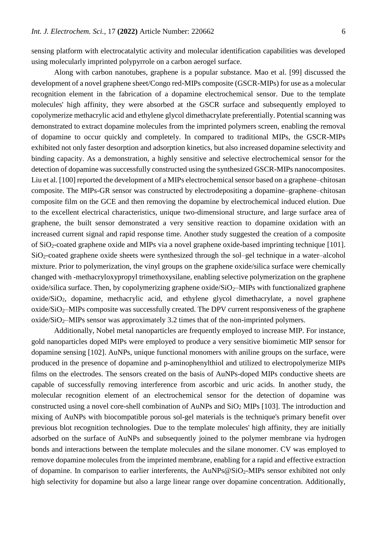sensing platform with electrocatalytic activity and molecular identification capabilities was developed using molecularly imprinted polypyrrole on a carbon aerogel surface.

Along with carbon nanotubes, graphene is a popular substance. Mao et al. [99] discussed the development of a novel graphene sheet/Congo red-MIPs composite (GSCR-MIPs) for use as a molecular recognition element in the fabrication of a dopamine electrochemical sensor. Due to the template molecules' high affinity, they were absorbed at the GSCR surface and subsequently employed to copolymerize methacrylic acid and ethylene glycol dimethacrylate preferentially. Potential scanning was demonstrated to extract dopamine molecules from the imprinted polymers screen, enabling the removal of dopamine to occur quickly and completely. In compared to traditional MIPs, the GSCR-MIPs exhibited not only faster desorption and adsorption kinetics, but also increased dopamine selectivity and binding capacity. As a demonstration, a highly sensitive and selective electrochemical sensor for the detection of dopamine was successfully constructed using the synthesized GSCR-MIPs nanocomposites. Liu et al. [100] reported the development of a MIPs electrochemical sensor based on a graphene–chitosan composite. The MIPs-GR sensor was constructed by electrodepositing a dopamine–graphene–chitosan composite film on the GCE and then removing the dopamine by electrochemical induced elution. Due to the excellent electrical characteristics, unique two-dimensional structure, and large surface area of graphene, the built sensor demonstrated a very sensitive reaction to dopamine oxidation with an increased current signal and rapid response time. Another study suggested the creation of a composite of SiO2-coated graphene oxide and MIPs via a novel graphene oxide-based imprinting technique [101]. SiO2-coated graphene oxide sheets were synthesized through the sol–gel technique in a water–alcohol mixture. Prior to polymerization, the vinyl groups on the graphene oxide/silica surface were chemically changed with -methacryloxypropyl trimethoxysilane, enabling selective polymerization on the graphene oxide/silica surface. Then, by copolymerizing graphene oxide/ $SiO<sub>2</sub>$ –MIPs with functionalized graphene oxide/SiO2, dopamine, methacrylic acid, and ethylene glycol dimethacrylate, a novel graphene  $oxide/SiO<sub>2</sub>–MIPS composite was successfully created. The DPV current responsiveness of the graphene$  $oxide/SiO<sub>2</sub>–MIPS sensor was approximately 3.2 times that of the non-imprinted polymers.$ 

Additionally, Nobel metal nanoparticles are frequently employed to increase MIP. For instance, gold nanoparticles doped MIPs were employed to produce a very sensitive biomimetic MIP sensor for dopamine sensing [102]. AuNPs, unique functional monomers with aniline groups on the surface, were produced in the presence of dopamine and p-aminophenylthiol and utilized to electropolymerize MIPs films on the electrodes. The sensors created on the basis of AuNPs-doped MIPs conductive sheets are capable of successfully removing interference from ascorbic and uric acids. In another study, the molecular recognition element of an electrochemical sensor for the detection of dopamine was constructed using a novel core-shell combination of AuNPs and SiO<sup>2</sup> MIPs [103]. The introduction and mixing of AuNPs with biocompatible porous sol-gel materials is the technique's primary benefit over previous blot recognition technologies. Due to the template molecules' high affinity, they are initially adsorbed on the surface of AuNPs and subsequently joined to the polymer membrane via hydrogen bonds and interactions between the template molecules and the silane monomer. CV was employed to remove dopamine molecules from the imprinted membrane, enabling for a rapid and effective extraction of dopamine. In comparison to earlier interferents, the  $AuNPs@SiO_2-MIPS$  sensor exhibited not only high selectivity for dopamine but also a large linear range over dopamine concentration. Additionally,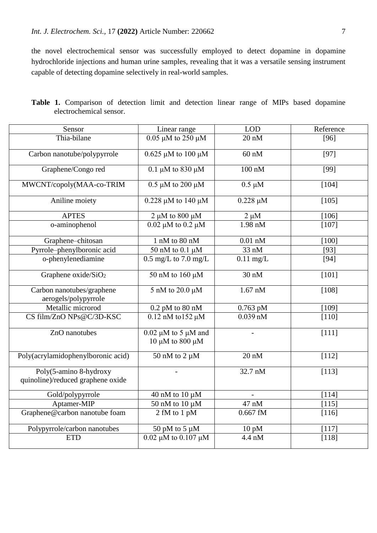the novel electrochemical sensor was successfully employed to detect dopamine in dopamine hydrochloride injections and human urine samples, revealing that it was a versatile sensing instrument capable of detecting dopamine selectively in real-world samples.

| Sensor                                                      | Linear range                                     | <b>LOD</b>      | Reference |
|-------------------------------------------------------------|--------------------------------------------------|-----------------|-----------|
| Thia-bilane                                                 | $0.05 \mu M$ to 250 $\mu M$                      | $20 \text{ nM}$ | $[96]$    |
| Carbon nanotube/polypyrrole                                 | $0.625 \mu M$ to 100 $\mu M$                     | $60$ nM         | $[97]$    |
| Graphene/Congo red                                          | 0.1 $\mu$ M to 830 $\mu$ M                       | $100$ nM        | $[99]$    |
| MWCNT/copoly(MAA-co-TRIM                                    | $0.5 \mu M$ to 200 $\mu M$                       | $0.5 \mu M$     | [104]     |
| Aniline moiety                                              | $0.228 \mu M$ to 140 $\mu M$                     | $0.228 \mu M$   | [105]     |
| <b>APTES</b>                                                | $2 \mu M$ to 800 $\mu M$                         | $2 \mu M$       | [106]     |
| o-aminophenol                                               | $0.02 \mu M$ to $0.2 \mu M$                      | 1.98 nM         | [107]     |
| Graphene-chitosan                                           | 1 nM to 80 nM                                    | $0.01$ nM       | [100]     |
| Pyrrole-phenylboronic acid                                  | 50 nM to 0.1 µM                                  | 33 nM           | $[93]$    |
| o-phenylenediamine                                          | $0.5$ mg/L to $7.0$ mg/L                         | $0.11$ mg/L     | $[94]$    |
| Graphene oxide/SiO <sub>2</sub>                             | 50 nM to $160 \mu M$                             | $30 \text{ nM}$ | $[101]$   |
| Carbon nanotubes/graphene                                   | 5 nM to 20.0 μM                                  | $1.67$ nM       | [108]     |
| aerogels/polypyrrole                                        |                                                  |                 |           |
| Metallic microrod                                           | $0.2$ pM to 80 nM                                | $0.763$ pM      | [109]     |
| CS film/ZnO NPs@C/3D-KSC                                    | $0.12$ nM to 152 µM                              | $0.039$ nM      | $[110]$   |
| ZnO nanotubes                                               | $0.02 \mu M$ to 5 $\mu M$ and<br>10 μM to 800 μM |                 | [111]     |
| Poly(acrylamidophenylboronic acid)                          | $50$ nM to $2 \mu M$                             | $20 \text{ nM}$ | [112]     |
| Poly(5-amino 8-hydroxy<br>quinoline)/reduced graphene oxide |                                                  | 32.7 nM         | [113]     |
| Gold/polypyrrole                                            | 40 nM to 10 $\mu$ M                              |                 | [114]     |
| Aptamer-MIP                                                 | 50 nM to 10 $\mu$ M                              | 47 nM           | [115]     |
| Graphene@carbon nanotube foam                               | 2 fM to 1 pM                                     | $0.667$ fM      | [116]     |
| Polypyrrole/carbon nanotubes                                | 50 pM to 5 $\mu$ M                               | $10$ pM         | [117]     |
| <b>ETD</b>                                                  | $0.02 \mu M$ to $0.107 \mu M$                    | 4.4 nM          | $[118]$   |

**Table 1.** Comparison of detection limit and detection linear range of MIPs based dopamine electrochemical sensor.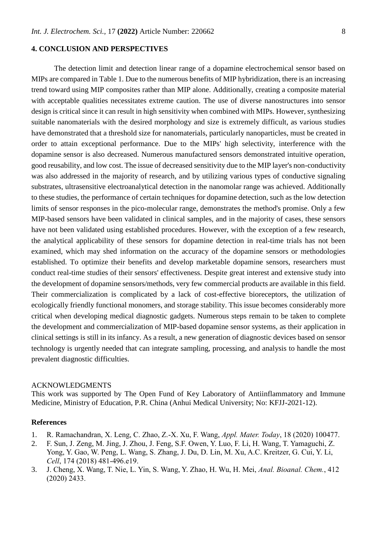## **4. CONCLUSION AND PERSPECTIVES**

The detection limit and detection linear range of a dopamine electrochemical sensor based on MIPs are compared in Table 1. Due to the numerous benefits of MIP hybridization, there is an increasing trend toward using MIP composites rather than MIP alone. Additionally, creating a composite material with acceptable qualities necessitates extreme caution. The use of diverse nanostructures into sensor design is critical since it can result in high sensitivity when combined with MIPs. However, synthesizing suitable nanomaterials with the desired morphology and size is extremely difficult, as various studies have demonstrated that a threshold size for nanomaterials, particularly nanoparticles, must be created in order to attain exceptional performance. Due to the MIPs' high selectivity, interference with the dopamine sensor is also decreased. Numerous manufactured sensors demonstrated intuitive operation, good reusability, and low cost. The issue of decreased sensitivity due to the MIP layer's non-conductivity was also addressed in the majority of research, and by utilizing various types of conductive signaling substrates, ultrasensitive electroanalytical detection in the nanomolar range was achieved. Additionally to these studies, the performance of certain techniques for dopamine detection, such as the low detection limits of sensor responses in the pico-molecular range, demonstrates the method's promise. Only a few MIP-based sensors have been validated in clinical samples, and in the majority of cases, these sensors have not been validated using established procedures. However, with the exception of a few research, the analytical applicability of these sensors for dopamine detection in real-time trials has not been examined, which may shed information on the accuracy of the dopamine sensors or methodologies established. To optimize their benefits and develop marketable dopamine sensors, researchers must conduct real-time studies of their sensors' effectiveness. Despite great interest and extensive study into the development of dopamine sensors/methods, very few commercial products are available in this field. Their commercialization is complicated by a lack of cost-effective bioreceptors, the utilization of ecologically friendly functional monomers, and storage stability. This issue becomes considerably more critical when developing medical diagnostic gadgets. Numerous steps remain to be taken to complete the development and commercialization of MIP-based dopamine sensor systems, as their application in clinical settings is still in its infancy. As a result, a new generation of diagnostic devices based on sensor technology is urgently needed that can integrate sampling, processing, and analysis to handle the most prevalent diagnostic difficulties.

#### ACKNOWLEDGMENTS

This work was supported by The Open Fund of Key Laboratory of Antiinflammatory and Immune Medicine, Ministry of Education, P.R. China (Anhui Medical University; No: KFJJ-2021-12).

#### **References**

- 1. R. Ramachandran, X. Leng, C. Zhao, Z.-X. Xu, F. Wang, *Appl. Mater. Today*, 18 (2020) 100477.
- 2. F. Sun, J. Zeng, M. Jing, J. Zhou, J. Feng, S.F. Owen, Y. Luo, F. Li, H. Wang, T. Yamaguchi, Z. Yong, Y. Gao, W. Peng, L. Wang, S. Zhang, J. Du, D. Lin, M. Xu, A.C. Kreitzer, G. Cui, Y. Li, *Cell*, 174 (2018) 481-496.e19.
- 3. J. Cheng, X. Wang, T. Nie, L. Yin, S. Wang, Y. Zhao, H. Wu, H. Mei, *Anal. Bioanal. Chem.*, 412 (2020) 2433.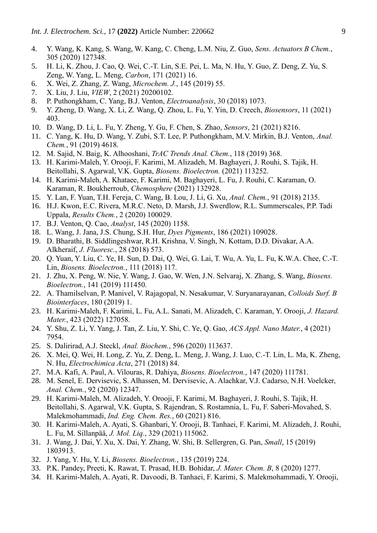- 4. Y. Wang, K. Kang, S. Wang, W. Kang, C. Cheng, L.M. Niu, Z. Guo, *Sens. Actuators B Chem.*, 305 (2020) 127348.
- 5. H. Li, K. Zhou, J. Cao, Q. Wei, C.-T. Lin, S.E. Pei, L. Ma, N. Hu, Y. Guo, Z. Deng, Z. Yu, S. Zeng, W. Yang, L. Meng, *Carbon*, 171 (2021) 16.
- 6. X. Wei, Z. Zhang, Z. Wang, *Microchem. J.*, 145 (2019) 55.
- 7. X. Liu, J. Liu, *VIEW*, 2 (2021) 20200102.
- 8. P. Puthongkham, C. Yang, B.J. Venton, *Electroanalysis*, 30 (2018) 1073.
- 9. Y. Zheng, D. Wang, X. Li, Z. Wang, Q. Zhou, L. Fu, Y. Yin, D. Creech, *Biosensors*, 11 (2021) 403.
- 10. D. Wang, D. Li, L. Fu, Y. Zheng, Y. Gu, F. Chen, S. Zhao, *Sensors*, 21 (2021) 8216.
- 11. C. Yang, K. Hu, D. Wang, Y. Zubi, S.T. Lee, P. Puthongkham, M.V. Mirkin, B.J. Venton, *Anal. Chem.*, 91 (2019) 4618.
- 12. M. Sajid, N. Baig, K. Alhooshani, *TrAC Trends Anal. Chem.*, 118 (2019) 368.
- 13. H. Karimi-Maleh, Y. Orooji, F. Karimi, M. Alizadeh, M. Baghayeri, J. Rouhi, S. Tajik, H. Beitollahi, S. Agarwal, V.K. Gupta, *Biosens. Bioelectron.* (2021) 113252.
- 14. H. Karimi-Maleh, A. Khataee, F. Karimi, M. Baghayeri, L. Fu, J. Rouhi, C. Karaman, O. Karaman, R. Boukherroub, *Chemosphere* (2021) 132928.
- 15. Y. Lan, F. Yuan, T.H. Fereja, C. Wang, B. Lou, J. Li, G. Xu, *Anal. Chem.*, 91 (2018) 2135.
- 16. H.J. Kwon, E.C. Rivera, M.R.C. Neto, D. Marsh, J.J. Swerdlow, R.L. Summerscales, P.P. Tadi Uppala, *Results Chem.*, 2 (2020) 100029.
- 17. B.J. Venton, Q. Cao, *Analyst*, 145 (2020) 1158.
- 18. L. Wang, J. Jana, J.S. Chung, S.H. Hur, *Dyes Pigments*, 186 (2021) 109028.
- 19. D. Bharathi, B. Siddlingeshwar, R.H. Krishna, V. Singh, N. Kottam, D.D. Divakar, A.A. Alkheraif, *J. Fluoresc.*, 28 (2018) 573.
- 20. Q. Yuan, Y. Liu, C. Ye, H. Sun, D. Dai, Q. Wei, G. Lai, T. Wu, A. Yu, L. Fu, K.W.A. Chee, C.-T. Lin, *Biosens. Bioelectron.*, 111 (2018) 117.
- 21. J. Zhu, X. Peng, W. Nie, Y. Wang, J. Gao, W. Wen, J.N. Selvaraj, X. Zhang, S. Wang, *Biosens. Bioelectron.*, 141 (2019) 111450.
- 22. A. Thamilselvan, P. Manivel, V. Rajagopal, N. Nesakumar, V. Suryanarayanan, *Colloids Surf. B Biointerfaces*, 180 (2019) 1.
- 23. H. Karimi-Maleh, F. Karimi, L. Fu, A.L. Sanati, M. Alizadeh, C. Karaman, Y. Orooji, *J. Hazard. Mater.*, 423 (2022) 127058.
- 24. Y. Shu, Z. Li, Y. Yang, J. Tan, Z. Liu, Y. Shi, C. Ye, Q. Gao, *ACS Appl. Nano Mater.*, 4 (2021) 7954.
- 25. S. Dalirirad, A.J. Steckl, *Anal. Biochem.*, 596 (2020) 113637.
- 26. X. Mei, Q. Wei, H. Long, Z. Yu, Z. Deng, L. Meng, J. Wang, J. Luo, C.-T. Lin, L. Ma, K. Zheng, N. Hu, *Electrochimica Acta*, 271 (2018) 84.
- 27. M.A. Kafi, A. Paul, A. Vilouras, R. Dahiya, *Biosens. Bioelectron.*, 147 (2020) 111781.
- 28. M. Senel, E. Dervisevic, S. Alhassen, M. Dervisevic, A. Alachkar, V.J. Cadarso, N.H. Voelcker, *Anal. Chem.*, 92 (2020) 12347.
- 29. H. Karimi-Maleh, M. Alizadeh, Y. Orooji, F. Karimi, M. Baghayeri, J. Rouhi, S. Tajik, H. Beitollahi, S. Agarwal, V.K. Gupta, S. Rajendran, S. Rostamnia, L. Fu, F. Saberi-Movahed, S. Malekmohammadi, *Ind. Eng. Chem. Res.*, 60 (2021) 816.
- 30. H. Karimi-Maleh, A. Ayati, S. Ghanbari, Y. Orooji, B. Tanhaei, F. Karimi, M. Alizadeh, J. Rouhi, L. Fu, M. Sillanpää, *J. Mol. Liq.*, 329 (2021) 115062.
- 31. J. Wang, J. Dai, Y. Xu, X. Dai, Y. Zhang, W. Shi, B. Sellergren, G. Pan, *Small*, 15 (2019) 1803913.
- 32. J. Yang, Y. Hu, Y. Li, *Biosens. Bioelectron.*, 135 (2019) 224.
- 33. P.K. Pandey, Preeti, K. Rawat, T. Prasad, H.B. Bohidar, *J. Mater. Chem. B*, 8 (2020) 1277.
- 34. H. Karimi-Maleh, A. Ayati, R. Davoodi, B. Tanhaei, F. Karimi, S. Malekmohammadi, Y. Orooji,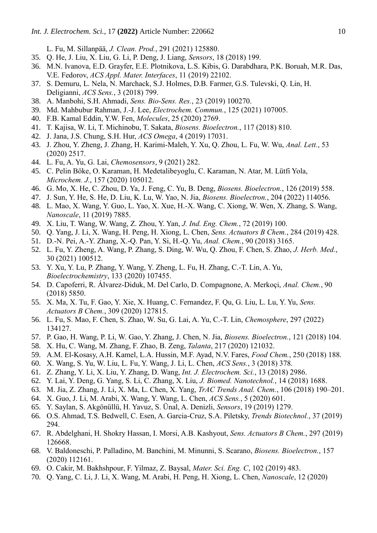L. Fu, M. Sillanpää, *J. Clean. Prod.*, 291 (2021) 125880.

- 35. Q. He, J. Liu, X. Liu, G. Li, P. Deng, J. Liang, *Sensors*, 18 (2018) 199.
- 36. M.N. Ivanova, E.D. Grayfer, E.E. Plotnikova, L.S. Kibis, G. Darabdhara, P.K. Boruah, M.R. Das, V.E. Fedorov, *ACS Appl. Mater. Interfaces*, 11 (2019) 22102.
- 37. S. Demuru, L. Nela, N. Marchack, S.J. Holmes, D.B. Farmer, G.S. Tulevski, Q. Lin, H. Deligianni, *ACS Sens.*, 3 (2018) 799.
- 38. A. Manbohi, S.H. Ahmadi, *Sens. Bio-Sens. Res.*, 23 (2019) 100270.
- 39. Md. Mahbubur Rahman, J.-J. Lee, *Electrochem. Commun.*, 125 (2021) 107005.
- 40. F.B. Kamal Eddin, Y.W. Fen, *Molecules*, 25 (2020) 2769.
- 41. T. Kajisa, W. Li, T. Michinobu, T. Sakata, *Biosens. Bioelectron.*, 117 (2018) 810.
- 42. J. Jana, J.S. Chung, S.H. Hur, *ACS Omega*, 4 (2019) 17031.
- 43. J. Zhou, Y. Zheng, J. Zhang, H. Karimi-Maleh, Y. Xu, Q. Zhou, L. Fu, W. Wu, *Anal. Lett.*, 53 (2020) 2517.
- 44. L. Fu, A. Yu, G. Lai, *Chemosensors*, 9 (2021) 282.
- 45. C. Pelin Böke, O. Karaman, H. Medetalibeyoglu, C. Karaman, N. Atar, M. Lütfi Yola, *Microchem. J.*, 157 (2020) 105012.
- 46. G. Mo, X. He, C. Zhou, D. Ya, J. Feng, C. Yu, B. Deng, *Biosens. Bioelectron.*, 126 (2019) 558.
- 47. J. Sun, Y. He, S. He, D. Liu, K. Lu, W. Yao, N. Jia, *Biosens. Bioelectron.*, 204 (2022) 114056.
- 48. L. Mao, X. Wang, Y. Guo, L. Yao, X. Xue, H.-X. Wang, C. Xiong, W. Wen, X. Zhang, S. Wang, *Nanoscale*, 11 (2019) 7885.
- 49. X. Liu, T. Wang, W. Wang, Z. Zhou, Y. Yan, *J. Ind. Eng. Chem.*, 72 (2019) 100.
- 50. Q. Yang, J. Li, X. Wang, H. Peng, H. Xiong, L. Chen, *Sens. Actuators B Chem.*, 284 (2019) 428.
- 51. D.-N. Pei, A.-Y. Zhang, X.-Q. Pan, Y. Si, H.-Q. Yu, *Anal. Chem.*, 90 (2018) 3165.
- 52. L. Fu, Y. Zheng, A. Wang, P. Zhang, S. Ding, W. Wu, Q. Zhou, F. Chen, S. Zhao, *J. Herb. Med.*, 30 (2021) 100512.
- 53. Y. Xu, Y. Lu, P. Zhang, Y. Wang, Y. Zheng, L. Fu, H. Zhang, C.-T. Lin, A. Yu, *Bioelectrochemistry*, 133 (2020) 107455.
- 54. D. Capoferri, R. Álvarez-Diduk, M. Del Carlo, D. Compagnone, A. Merkoçi, *Anal. Chem.*, 90 (2018) 5850.
- 55. X. Ma, X. Tu, F. Gao, Y. Xie, X. Huang, C. Fernandez, F. Qu, G. Liu, L. Lu, Y. Yu, *Sens. Actuators B Chem.*, 309 (2020) 127815.
- 56. L. Fu, S. Mao, F. Chen, S. Zhao, W. Su, G. Lai, A. Yu, C.-T. Lin, *Chemosphere*, 297 (2022) 134127.
- 57. P. Gao, H. Wang, P. Li, W. Gao, Y. Zhang, J. Chen, N. Jia, *Biosens. Bioelectron.*, 121 (2018) 104.
- 58. X. Hu, C. Wang, M. Zhang, F. Zhao, B. Zeng, *Talanta*, 217 (2020) 121032.
- 59. A.M. El-Kosasy, A.H. Kamel, L.A. Hussin, M.F. Ayad, N.V. Fares, *Food Chem.*, 250 (2018) 188.
- 60. X. Wang, S. Yu, W. Liu, L. Fu, Y. Wang, J. Li, L. Chen, *ACS Sens.*, 3 (2018) 378.
- 61. Z. Zhang, Y. Li, X. Liu, Y. Zhang, D. Wang, *Int. J. Electrochem. Sci.*, 13 (2018) 2986.
- 62. Y. Lai, Y. Deng, G. Yang, S. Li, C. Zhang, X. Liu, *J. Biomed. Nanotechnol.*, 14 (2018) 1688.
- 63. M. Jia, Z. Zhang, J. Li, X. Ma, L. Chen, X. Yang, *TrAC Trends Anal. Chem.*, 106 (2018) 190–201.
- 64. X. Guo, J. Li, M. Arabi, X. Wang, Y. Wang, L. Chen, *ACS Sens.*, 5 (2020) 601.
- 65. Y. Saylan, S. Akgönüllü, H. Yavuz, S. Ünal, A. Denizli, *Sensors*, 19 (2019) 1279.
- 66. O.S. Ahmad, T.S. Bedwell, C. Esen, A. Garcia-Cruz, S.A. Piletsky, *Trends Biotechnol.*, 37 (2019) 294.
- 67. R. Abdelghani, H. Shokry Hassan, I. Morsi, A.B. Kashyout, *Sens. Actuators B Chem.*, 297 (2019) 126668.
- 68. V. Baldoneschi, P. Palladino, M. Banchini, M. Minunni, S. Scarano, *Biosens. Bioelectron.*, 157 (2020) 112161.
- 69. O. Cakir, M. Bakhshpour, F. Yilmaz, Z. Baysal, *Mater. Sci. Eng. C*, 102 (2019) 483.
- 70. Q. Yang, C. Li, J. Li, X. Wang, M. Arabi, H. Peng, H. Xiong, L. Chen, *Nanoscale*, 12 (2020)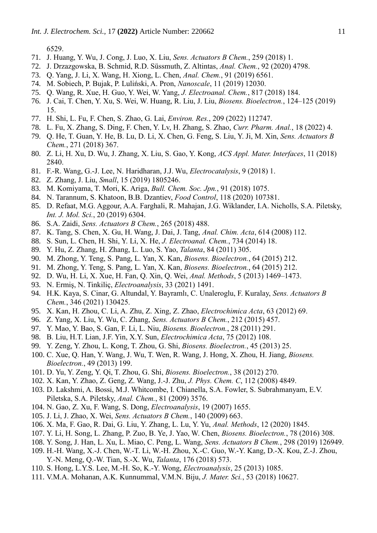6529.

- 71. J. Huang, Y. Wu, J. Cong, J. Luo, X. Liu, *Sens. Actuators B Chem.*, 259 (2018) 1.
- 72. J. Drzazgowska, B. Schmid, R.D. Süssmuth, Z. Altintas, *Anal. Chem.*, 92 (2020) 4798.
- 73. Q. Yang, J. Li, X. Wang, H. Xiong, L. Chen, *Anal. Chem.*, 91 (2019) 6561.
- 74. M. Sobiech, P. Bujak, P. Luliński, A. Pron, *Nanoscale*, 11 (2019) 12030.
- 75. Q. Wang, R. Xue, H. Guo, Y. Wei, W. Yang, *J. Electroanal. Chem.*, 817 (2018) 184.
- 76. J. Cai, T. Chen, Y. Xu, S. Wei, W. Huang, R. Liu, J. Liu, *Biosens. Bioelectron.*, 124–125 (2019) 15.
- 77. H. Shi, L. Fu, F. Chen, S. Zhao, G. Lai, *Environ. Res.*, 209 (2022) 112747.
- 78. L. Fu, X. Zhang, S. Ding, F. Chen, Y. Lv, H. Zhang, S. Zhao, *Curr. Pharm. Anal.*, 18 (2022) 4.
- 79. Q. He, T. Guan, Y. He, B. Lu, D. Li, X. Chen, G. Feng, S. Liu, Y. Ji, M. Xin, *Sens. Actuators B Chem.*, 271 (2018) 367.
- 80. Z. Li, H. Xu, D. Wu, J. Zhang, X. Liu, S. Gao, Y. Kong, *ACS Appl. Mater. Interfaces*, 11 (2018) 2840.
- 81. F.-R. Wang, G.-J. Lee, N. Haridharan, J.J. Wu, *Electrocatalysis*, 9 (2018) 1.
- 82. Z. Zhang, J. Liu, *Small*, 15 (2019) 1805246.
- 83. M. Komiyama, T. Mori, K. Ariga, *Bull. Chem. Soc. Jpn.*, 91 (2018) 1075.
- 84. N. Tarannum, S. Khatoon, B.B. Dzantiev, *Food Control*, 118 (2020) 107381.
- 85. D. Refaat, M.G. Aggour, A.A. Farghali, R. Mahajan, J.G. Wiklander, I.A. Nicholls, S.A. Piletsky, *Int. J. Mol. Sci.*, 20 (2019) 6304.
- 86. S.A. Zaidi, *Sens. Actuators B Chem.*, 265 (2018) 488.
- 87. K. Tang, S. Chen, X. Gu, H. Wang, J. Dai, J. Tang, *Anal. Chim. Acta*, 614 (2008) 112.
- 88. S. Sun, L. Chen, H. Shi, Y. Li, X. He, *J. Electroanal. Chem.*, 734 (2014) 18.
- 89. Y. Hu, Z. Zhang, H. Zhang, L. Luo, S. Yao, *Talanta*, 84 (2011) 305.
- 90. M. Zhong, Y. Teng, S. Pang, L. Yan, X. Kan, *Biosens. Bioelectron.*, 64 (2015) 212.
- 91. M. Zhong, Y. Teng, S. Pang, L. Yan, X. Kan, *Biosens. Bioelectron.*, 64 (2015) 212.
- 92. D. Wu, H. Li, X. Xue, H. Fan, Q. Xin, Q. Wei, *Anal. Methods*, 5 (2013) 1469–1473.
- 93. N. Ermiş, N. Tinkiliç, *Electroanalysis*, 33 (2021) 1491.
- 94. H.K. Kaya, S. Cinar, G. Altundal, Y. Bayramlı, C. Unaleroglu, F. Kuralay, *Sens. Actuators B Chem.*, 346 (2021) 130425.
- 95. X. Kan, H. Zhou, C. Li, A. Zhu, Z. Xing, Z. Zhao, *Electrochimica Acta*, 63 (2012) 69.
- 96. Z. Yang, X. Liu, Y. Wu, C. Zhang, *Sens. Actuators B Chem.*, 212 (2015) 457.
- 97. Y. Mao, Y. Bao, S. Gan, F. Li, L. Niu, *Biosens. Bioelectron.*, 28 (2011) 291.
- 98. B. Liu, H.T. Lian, J.F. Yin, X.Y. Sun, *Electrochimica Acta*, 75 (2012) 108.
- 99. Y. Zeng, Y. Zhou, L. Kong, T. Zhou, G. Shi, *Biosens. Bioelectron.*, 45 (2013) 25.
- 100. C. Xue, Q. Han, Y. Wang, J. Wu, T. Wen, R. Wang, J. Hong, X. Zhou, H. Jiang, *Biosens. Bioelectron.*, 49 (2013) 199.
- 101. D. Yu, Y. Zeng, Y. Qi, T. Zhou, G. Shi, *Biosens. Bioelectron.*, 38 (2012) 270.
- 102. X. Kan, Y. Zhao, Z. Geng, Z. Wang, J.-J. Zhu, *J. Phys. Chem. C*, 112 (2008) 4849.
- 103. D. Lakshmi, A. Bossi, M.J. Whitcombe, I. Chianella, S.A. Fowler, S. Subrahmanyam, E.V. Piletska, S.A. Piletsky, *Anal. Chem.*, 81 (2009) 3576.
- 104. N. Gao, Z. Xu, F. Wang, S. Dong, *Electroanalysis*, 19 (2007) 1655.
- 105. J. Li, J. Zhao, X. Wei, *Sens. Actuators B Chem.*, 140 (2009) 663.
- 106. X. Ma, F. Gao, R. Dai, G. Liu, Y. Zhang, L. Lu, Y. Yu, *Anal. Methods*, 12 (2020) 1845.
- 107. Y. Li, H. Song, L. Zhang, P. Zuo, B. Ye, J. Yao, W. Chen, *Biosens. Bioelectron.*, 78 (2016) 308.
- 108. Y. Song, J. Han, L. Xu, L. Miao, C. Peng, L. Wang, *Sens. Actuators B Chem.*, 298 (2019) 126949.
- 109. H.-H. Wang, X.-J. Chen, W.-T. Li, W.-H. Zhou, X.-C. Guo, W.-Y. Kang, D.-X. Kou, Z.-J. Zhou, Y.-N. Meng, Q.-W. Tian, S.-X. Wu, *Talanta*, 176 (2018) 573.
- 110. S. Hong, L.Y.S. Lee, M.-H. So, K.-Y. Wong, *Electroanalysis*, 25 (2013) 1085.
- 111. V.M.A. Mohanan, A.K. Kunnummal, V.M.N. Biju, *J. Mater. Sci.*, 53 (2018) 10627.